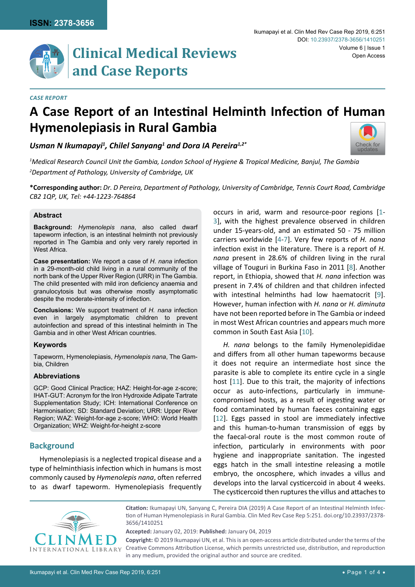

# **Clinical Medical Reviews and Case Reports**

#### *Case Report*

# **A Case Report of an Intestinal Helminth Infection of Human Hymenolepiasis in Rural Gambia**

*Usman N Ikumapayi1 , Chilel Sanyang1 and Dora IA Pereira1,2\**



*1 Medical Research Council Unit the Gambia, London School of Hygiene & Tropical Medicine, Banjul, The Gambia 2 Department of Pathology, University of Cambridge, UK*

**\*Corresponding author:** *Dr. D Pereira, Department of Pathology, University of Cambridge, Tennis Court Road, Cambridge CB2 1QP, UK, Tel: +44-1223-764864*

#### **Abstract**

**Background:** *Hymenolepis nana*, also called dwarf tapeworm infection, is an intestinal helminth not previously reported in The Gambia and only very rarely reported in West Africa.

**Case presentation:** We report a case of *H. nana* infection in a 29-month-old child living in a rural community of the north bank of the Upper River Region (URR) in The Gambia. The child presented with mild iron deficiency anaemia and granulocytosis but was otherwise mostly asymptomatic despite the moderate-intensity of infection.

**Conclusions:** We support treatment of *H. nana* infection even in largely asymptomatic children to prevent autoinfection and spread of this intestinal helminth in The Gambia and in other West African countries.

#### **Keywords**

Tapeworm, Hymenolepiasis, *Hymenolepis nana*, The Gambia, Children

### **Abbreviations**

GCP: Good Clinical Practice; HAZ: Height-for-age z-score; IHAT-GUT: Acronym for the Iron Hydroxide Adipate Tartrate Supplementation Study; ICH: International Conference on Harmonisation; SD: Standard Deviation; URR: Upper River Region; WAZ: Weight-for-age z-score; WHO: World Health Organization; WHZ: Weight-for-height z-score

# **Background**

Hymenolepiasis is a neglected tropical disease and a type of helminthiasis infection which in humans is most commonly caused by *Hymenolepis nana*, often referred to as dwarf tapeworm. Hymenolepiasis frequently occurs in arid, warm and resource-poor regions [[1](#page-2-0)- [3\]](#page-2-1), with the highest prevalence observed in children under 15-years-old, and an estimated 50 - 75 million carriers worldwide [\[4](#page-2-2)-[7\]](#page-3-0). Very few reports of *H. nana*  infection exist in the literature. There is a report of *H. nana* present in 28.6% of children living in the rural village of Touguri in Burkina Faso in 2011 [\[8\]](#page-3-1). Another report, in Ethiopia, showed that *H. nana* infection was present in 7.4% of children and that children infected with intestinal helminths had low haematocrit [[9](#page-3-2)]. However, human infection with *H. nana* or *H. diminuta* have not been reported before in The Gambia or indeed in most West African countries and appears much more common in South East Asia [[10](#page-3-3)].

*H. nana* belongs to the family Hymenolepididae and differs from all other human tapeworms because it does not require an intermediate host since the parasite is able to complete its entire cycle in a single host [[11](#page-3-4)]. Due to this trait, the majority of infections occur as auto-infections, particularly in immunecompromised hosts, as a result of ingesting water or food contaminated by human faeces containing eggs [[12](#page-3-5)]. Eggs passed in stool are immediately infective and this human-to-human transmission of eggs by the faecal-oral route is the most common route of infection, particularly in environments with poor hygiene and inappropriate sanitation. The ingested eggs hatch in the small intestine releasing a motile embryo, the oncosphere, which invades a villus and develops into the larval cysticercoid in about 4 weeks. The cysticercoid then ruptures the villus and attaches to



**Citation:** Ikumapayi UN, Sanyang C, Pereira DIA (2019) A Case Report of an Intestinal Helminth Infection of Human Hymenolepiasis in Rural Gambia. Clin Med Rev Case Rep 5:251. [doi.org/10.23937/2378-](https://doi.org/10.23937/2378-3656/1410251) [3656/1410251](https://doi.org/10.23937/2378-3656/1410251)

**Accepted:** January 02, 2019: **Published:** January 04, 2019

**Copyright:** © 2019 Ikumapayi UN, et al. This is an open-access article distributed under the terms of the Creative Commons Attribution License, which permits unrestricted use, distribution, and reproduction in any medium, provided the original author and source are credited.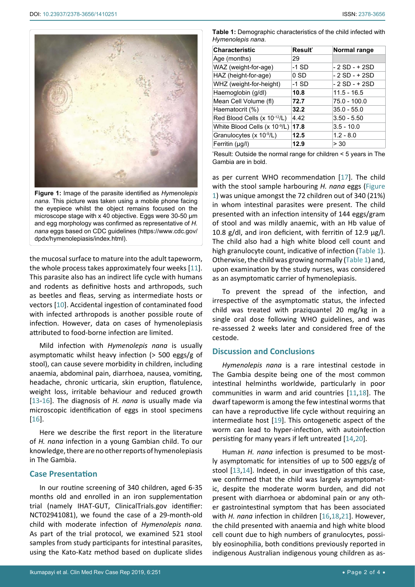<span id="page-1-0"></span>

**Figure 1:** Image of the parasite identified as *Hymenolepis nana*. This picture was taken using a mobile phone facing the eyepiece whilst the object remains focused on the microscope stage with x 40 objective. Eggs were 30-50 µm and egg morphology was confirmed as representative of *H. nana* eggs based on CDC guidelines ([https://www.cdc.gov/](https://www.cdc.gov/dpdx/hymenolepiasis/index.html) [dpdx/hymenolepiasis/index.html](https://www.cdc.gov/dpdx/hymenolepiasis/index.html)).

the mucosal surface to mature into the adult tapeworm, the whole process takes approximately four weeks [[11](#page-3-4)]. This parasite also has an indirect life cycle with humans and rodents as definitive hosts and arthropods, such as beetles and fleas, serving as intermediate hosts or vectors [[10](#page-3-3)]. Accidental ingestion of contaminated food with infected arthropods is another possible route of infection. However, data on cases of hymenolepiasis attributed to food-borne infection are limited.

Mild infection with *Hymenolepis nana* is usually asymptomatic whilst heavy infection (> 500 eggs/g of stool), can cause severe morbidity in children, including anaemia, abdominal pain, diarrhoea, nausea, vomiting, headache, chronic urticaria, skin eruption, flatulence, weight loss, irritable behaviour and reduced growth [[13](#page-3-11)-[16\]](#page-3-12). The diagnosis of *H. nana* is usually made via microscopic identification of eggs in stool specimens [[16](#page-3-12)].

Here we describe the first report in the literature of *H. nana* infection in a young Gambian child. To our knowledge, there are no other reports of hymenolepiasis in The Gambia.

## **Case Presentation**

In our routine screening of 340 children, aged 6-35 months old and enrolled in an iron supplementation trial (namely IHAT-GUT, ClinicalTrials.gov identifier: NCT02941081), we found the case of a 29-month-old child with moderate infection of *Hymenolepis nana.* As part of the trial protocol, we examined 521 stool samples from study participants for intestinal parasites, using the Kato-Katz method based on duplicate slides

<span id="page-1-1"></span>

| <b>Characteristic</b>           | <b>Result</b> * | Normal range   |
|---------------------------------|-----------------|----------------|
| Age (months)                    | 29              |                |
| WAZ (weight-for-age)            | -1 SD           | - 2 SD - + 2SD |
| HAZ (height-for-age)            | 0 SD            | - 2 SD - + 2SD |
| WHZ (weight-for-height)         | -1 SD           | - 2 SD - + 2SD |
| Haemoglobin (g/dl)              | 10.8            | $11.5 - 16.5$  |
| Mean Cell Volume (fl)           | 72.7            | 75.0 - 100.0   |
| Haematocrit (%)                 | 32.2            | $35.0 - 55.0$  |
| Red Blood Cells (x 10-12/L)     | 4.42            | $3.50 - 5.50$  |
| White Blood Cells (x $10^9$ /L) | 17.8            | $3.5 - 10.0$   |
| Granulocytes (x 10-9/L)         | 12.5            | $1.2 - 8.0$    |
| Ferritin $(\mu q/l)$            | 12.9            | > 30           |

\* Result: Outside the normal range for children < 5 years in The Gambia are in bold.

as per current WHO recommendation [[17](#page-3-6)]. The child with the stool sample harbouring *H. nana* eggs ([Figure](#page-1-0)  [1](#page-1-0)) was unique amongst the 72 children out of 340 (21%) in whom intestinal parasites were present. The child presented with an infection intensity of 144 eggs/gram of stool and was mildly anaemic, with an Hb value of 10.8  $g/dl$ , and iron deficient, with ferritin of 12.9  $\mu$ g/l. The child also had a high white blood cell count and high granulocyte count, indicative of infection [\(Table 1\)](#page-1-1). Otherwise, the child was growing normally [\(Table 1](#page-1-1)) and, upon examination by the study nurses, was considered as an asymptomatic carrier of hymenolepiasis.

To prevent the spread of the infection, and irrespective of the asymptomatic status, the infected child was treated with praziquantel 20 mg/kg in a single oral dose following WHO guidelines, and was re-assessed 2 weeks later and considered free of the cestode.

## **Discussion and Conclusions**

*Hymenolepis nana* is a rare intestinal cestode in The Gambia despite being one of the most common intestinal helminths worldwide, particularly in poor communities in warm and arid countries [[11](#page-3-4),[18\]](#page-3-7). The dwarf tapeworm is among the few intestinal worms that can have a reproductive life cycle without requiring an intermediate host [[19](#page-3-8)]. This ontogenetic aspect of the worm can lead to hyper-infection, with autoinfection persisting for many years if left untreated [[14](#page-3-9),[20](#page-3-10)].

Human *H. nana* infection is presumed to be mostly asymptomatic for intensities of up to 500 eggs/g of stool [[13](#page-3-11),[14\]](#page-3-9). Indeed, in our investigation of this case, we confirmed that the child was largely asymptomatic, despite the moderate worm burden, and did not present with diarrhoea or abdominal pain or any other gastrointestinal symptom that has been associated with *H. nana* infection in children [[16](#page-3-12),[18](#page-3-7),[21](#page-3-13)]. However, the child presented with anaemia and high white blood cell count due to high numbers of granulocytes, possibly eosinophilia, both conditions previously reported in indigenous Australian indigenous young children as as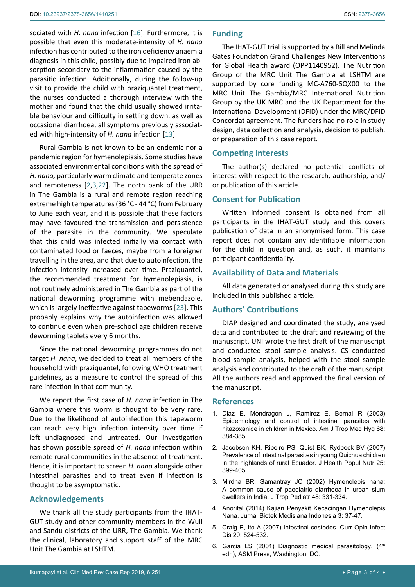sociated with *H. nana* infection [[16\]](#page-3-12). Furthermore, it is possible that even this moderate-intensity of *H. nana* infection has contributed to the iron deficiency anaemia diagnosis in this child, possibly due to impaired iron absorption secondary to the inflammation caused by the parasitic infection. Additionally, during the follow-up visit to provide the child with praziquantel treatment, the nurses conducted a thorough interview with the mother and found that the child usually showed irritable behaviour and difficulty in settling down, as well as occasional diarrhoea, all symptoms previously associated with high-intensity of *H. nana* infection [[13\]](#page-3-11).

Rural Gambia is not known to be an endemic nor a pandemic region for hymenolepiasis. Some studies have associated environmental conditions with the spread of *H. nana,* particularly warm climate and temperate zones and remoteness [[2,](#page-2-3)[3](#page-2-1),[22](#page-3-14)]. The north bank of the URR in The Gambia is a rural and remote region reaching extreme high temperatures (36 °C - 44 °C) from February to June each year, and it is possible that these factors may have favoured the transmission and persistence of the parasite in the community. We speculate that this child was infected initially via contact with contaminated food or faeces, maybe from a foreigner travelling in the area, and that due to autoinfection, the infection intensity increased over time. Praziquantel, the recommended treatment for hymenolepiasis, is not routinely administered in The Gambia as part of the national deworming programme with mebendazole, which is largely ineffective against tapeworms [[23](#page-3-15)]. This probably explains why the autoinfection was allowed to continue even when pre-school age children receive deworming tablets every 6 months.

Since the national deworming programmes do not target *H. nana*, we decided to treat all members of the household with praziquantel, following WHO treatment guidelines, as a measure to control the spread of this rare infection in that community.

We report the first case of *H. nana* infection in The Gambia where this worm is thought to be very rare. Due to the likelihood of autoinfection this tapeworm can reach very high infection intensity over time if left undiagnosed and untreated. Our investigation has shown possible spread of *H. nana* infection within remote rural communities in the absence of treatment. Hence, it is important to screen *H. nana* alongside other intestinal parasites and to treat even if infection is thought to be asymptomatic.

### **Acknowledgements**

We thank all the study participants from the IHAT-GUT study and other community members in the Wuli and Sandu districts of the URR, The Gambia. We thank the clinical, laboratory and support staff of the MRC Unit The Gambia at LSHTM.

# **Funding**

The IHAT-GUT trial is supported by a Bill and Melinda Gates Foundation Grand Challenges New Interventions for Global Health award (OPP1140952). The Nutrition Group of the MRC Unit The Gambia at LSHTM are supported by core funding MC-A760-5QX00 to the MRC Unit The Gambia/MRC International Nutrition Group by the UK MRC and the UK Department for the International Development (DFID) under the MRC/DFID Concordat agreement. The funders had no role in study design, data collection and analysis, decision to publish, or preparation of this case report.

## **Competing Interests**

The author(s) declared no potential conflicts of interest with respect to the research, authorship, and/ or publication of this article.

## **Consent for Publication**

Written informed consent is obtained from all participants in the IHAT-GUT study and this covers publication of data in an anonymised form. This case report does not contain any identifiable information for the child in question and, as such, it maintains participant confidentiality.

## **Availability of Data and Materials**

All data generated or analysed during this study are included in this published article.

# **Authors' Contributions**

DIAP designed and coordinated the study, analysed data and contributed to the draft and reviewing of the manuscript. UNI wrote the first draft of the manuscript and conducted stool sample analysis. CS conducted blood sample analysis, helped with the stool sample analysis and contributed to the draft of the manuscript. All the authors read and approved the final version of the manuscript.

#### **References**

- <span id="page-2-0"></span>1. [Diaz E, Mondragon J, Ramirez E, Bernal R \(2003\)](https://www.ncbi.nlm.nih.gov/pubmed/12875284)  [Epidemiology and control of intestinal parasites with](https://www.ncbi.nlm.nih.gov/pubmed/12875284)  [nitazoxanide in children in Mexico. Am J Trop Med Hyg 68:](https://www.ncbi.nlm.nih.gov/pubmed/12875284)  [384-385.](https://www.ncbi.nlm.nih.gov/pubmed/12875284)
- <span id="page-2-3"></span>2. [Jacobsen KH, Ribeiro PS, Quist BK, Rydbeck BV \(2007\)](https://www.ncbi.nlm.nih.gov/pmc/articles/PMC2754013/)  [Prevalence of intestinal parasites in young Quichua children](https://www.ncbi.nlm.nih.gov/pmc/articles/PMC2754013/)  [in the highlands of rural Ecuador. J Health Popul Nutr 25:](https://www.ncbi.nlm.nih.gov/pmc/articles/PMC2754013/)  [399-405.](https://www.ncbi.nlm.nih.gov/pmc/articles/PMC2754013/)
- <span id="page-2-1"></span>3. [Mirdha BR, Samantray JC \(2002\) Hymenolepis nana:](https://www.ncbi.nlm.nih.gov/pubmed/12521273)  [A common cause of paediatric diarrhoea in urban slum](https://www.ncbi.nlm.nih.gov/pubmed/12521273)  [dwellers in India. J Trop Pediatr 48: 331-334.](https://www.ncbi.nlm.nih.gov/pubmed/12521273)
- <span id="page-2-2"></span>4. [Anorital \(2014\) Kajian Penyakit Kecacingan Hymenolepis](http://ejournal.litbang.depkes.go.id/index.php/jbmi/article/view/4201)  [Nana. Jurnal Biotek Medisiana Indonesia 3: 37-47.](http://ejournal.litbang.depkes.go.id/index.php/jbmi/article/view/4201)
- 5. [Craig P, Ito A \(2007\) Intestinal cestodes. Curr Opin Infect](https://www.ncbi.nlm.nih.gov/pubmed/17762788)  [Dis 20: 524-532.](https://www.ncbi.nlm.nih.gov/pubmed/17762788)
- 6. Garcia LS (2001) Diagnostic medical parasitology. (4<sup>th</sup>) [edn\), ASM Press, Washington, DC.](https://books.google.co.in/books/about/Diagnostic_Medical_Parasitology.html?id=MgRjQgAACAAJ&redir_esc=y)